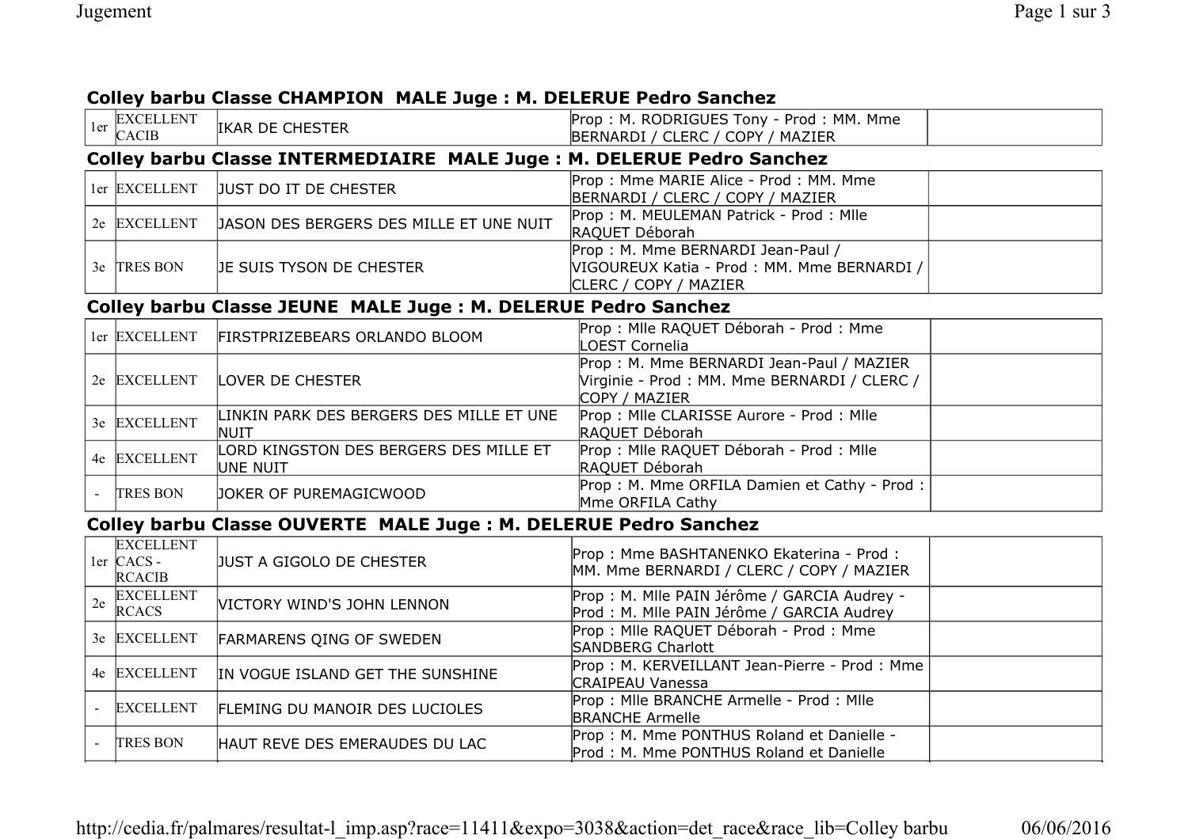## **Colley barbu Classe CHAMPION MALE Juge : M. DELERUE Pedro Sanchez**

| 1er | <b>EXCELLENT</b><br><b>CACIB</b>                                      | IKAR DE CHESTER                                    | Prop: M. RODRIGUES Tony - Prod: MM. Mme<br>BERNARDI / CLERC / COPY / MAZIER                               |  |  |  |  |
|-----|-----------------------------------------------------------------------|----------------------------------------------------|-----------------------------------------------------------------------------------------------------------|--|--|--|--|
|     | Colley barbu Classe INTERMEDIAIRE MALE Juge: M. DELERUE Pedro Sanchez |                                                    |                                                                                                           |  |  |  |  |
|     | ler EXCELLENT                                                         | JUST DO IT DE CHESTER                              | Prop: Mme MARIE Alice - Prod: MM. Mme<br>BERNARDI / CLERC / COPY / MAZIER                                 |  |  |  |  |
|     | 2e EXCELLENT                                                          | JASON DES BERGERS DES MILLE ET UNE NUIT            | Prop: M. MEULEMAN Patrick - Prod: Mile<br>RAQUET Déborah                                                  |  |  |  |  |
|     | 3e TRES BON                                                           | JE SUIS TYSON DE CHESTER                           | Prop: M. Mme BERNARDI Jean-Paul /<br>VIGOUREUX Katia - Prod : MM. Mme BERNARDI /<br>CLERC / COPY / MAZIER |  |  |  |  |
|     | Colley barbu Classe JEUNE MALE Juge: M. DELERUE Pedro Sanchez         |                                                    |                                                                                                           |  |  |  |  |
|     | ler EXCELLENT                                                         | FIRSTPRIZEBEARS ORLANDO BLOOM                      | Prop : Mile RAQUET Déborah - Prod : Mme<br>LOEST Cornelia                                                 |  |  |  |  |
|     | 2e EXCELLENT                                                          | <b>LOVER DE CHESTER</b>                            | Prop: M. Mme BERNARDI Jean-Paul / MAZIER<br>Virginie - Prod : MM. Mme BERNARDI / CLERC /<br>COPY / MAZIER |  |  |  |  |
|     | 3e EXCELLENT                                                          | LINKIN PARK DES BERGERS DES MILLE ET UNE<br>NUIT   | Prop: Mile CLARISSE Aurore - Prod: Mile<br>RAQUET Déborah                                                 |  |  |  |  |
|     | 4e EXCELLENT                                                          | LORD KINGSTON DES BERGERS DES MILLE ET<br>UNE NUIT | Prop : Mile RAQUET Déborah - Prod : Mile<br>RAQUET Déborah                                                |  |  |  |  |
|     | <b>TRES BON</b>                                                       | JOKER OF PUREMAGICWOOD                             | Prop: M. Mme ORFILA Damien et Cathy - Prod:<br>Mme ORFILA Cathy                                           |  |  |  |  |
|     | Colley barbu Classe OUVERTE MALE Juge: M. DELERUE Pedro Sanchez       |                                                    |                                                                                                           |  |  |  |  |
|     | <b>EXCELLENT</b><br>$1er$ CACS -<br><b>RCACIB</b>                     | JUST A GIGOLO DE CHESTER                           | Prop: Mme BASHTANENKO Ekaterina - Prod:<br>MM. Mme BERNARDI / CLERC / COPY / MAZIER                       |  |  |  |  |
|     | <b>EXCELLENT</b><br>$2e$ $RCACS$                                      | VICTORY WIND'S JOHN LENNON                         | Prop : M. Mile PAIN Jérôme / GARCIA Audrey -<br>Prod : M. Mlle PAIN Jérôme / GARCIA Audrey                |  |  |  |  |
|     | 3e EXCELLENT                                                          | FARMARENS QING OF SWEDEN                           | Prop : Mile RAQUET Déborah - Prod : Mme<br><b>SANDBERG Charlott</b>                                       |  |  |  |  |
|     | 4e EXCELLENT                                                          | IN VOGUE ISLAND GET THE SUNSHINE                   | Prop: M. KERVEILLANT Jean-Pierre - Prod: Mme<br><b>CRAIPEAU Vanessa</b>                                   |  |  |  |  |
|     | <b>EXCELLENT</b>                                                      | FLEMING DU MANOIR DES LUCIOLES                     | Prop: Mile BRANCHE Armelle - Prod: Mile<br><b>BRANCHE Armelle</b>                                         |  |  |  |  |
|     | <b>TRES BON</b>                                                       | HAUT REVE DES EMERAUDES DU LAC                     | Prop: M. Mme PONTHUS Roland et Danielle -<br>Prod: M. Mme PONTHUS Roland et Danielle                      |  |  |  |  |

http://cedia.fr/palmares/resultat-l\_imp.asp?race=11411&expo=3038&action=det\_race&race\_lib=Colley barbu 06/06/2016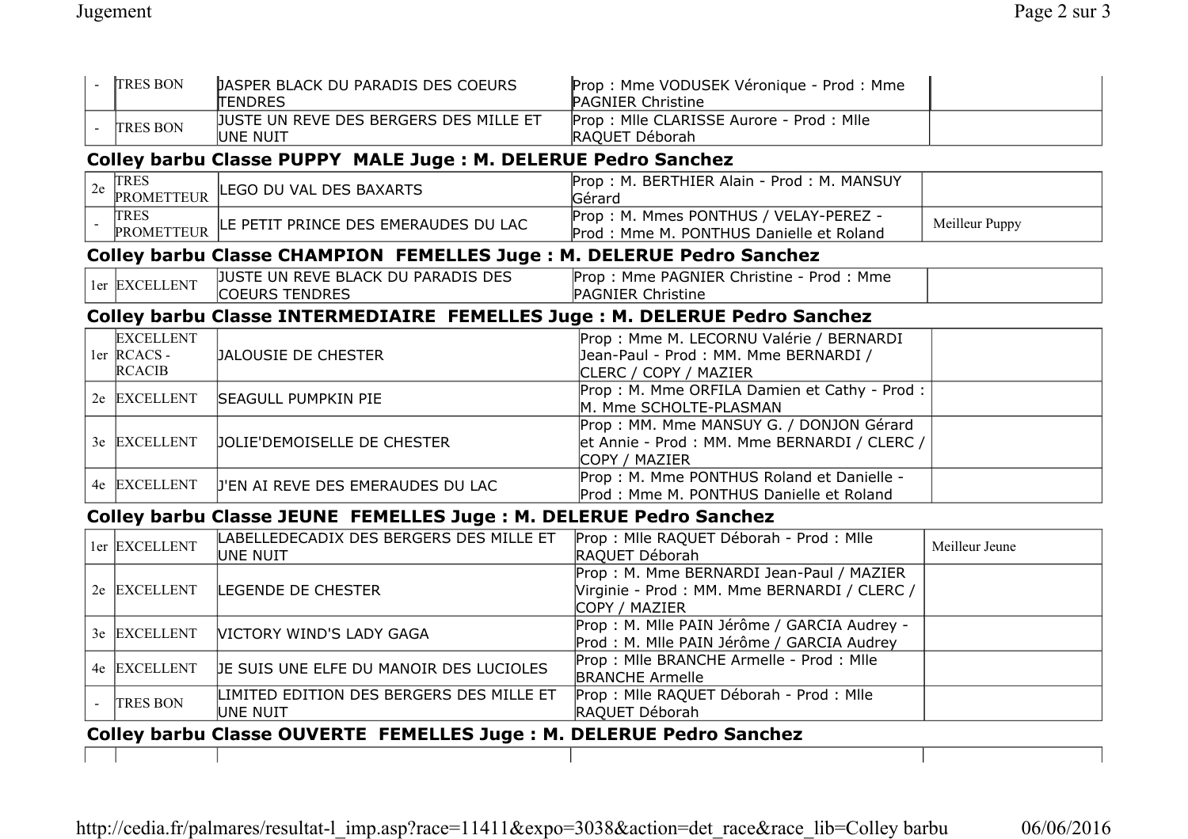|                                                                     | <b>TRES BON</b>                                                           | <b>JASPER BLACK DU PARADIS DES COEURS</b><br>TENDRES                 | Prop : Mme VODUSEK Véronique - Prod : Mme<br><b>PAGNIER Christine</b>                                     |                |  |  |  |
|---------------------------------------------------------------------|---------------------------------------------------------------------------|----------------------------------------------------------------------|-----------------------------------------------------------------------------------------------------------|----------------|--|--|--|
|                                                                     | <b>TRES BON</b>                                                           | JUSTE UN REVE DES BERGERS DES MILLE ET<br>UNE NUIT                   | Prop: Mile CLARISSE Aurore - Prod: Mile<br>RAQUET Déborah                                                 |                |  |  |  |
|                                                                     | Colley barbu Classe PUPPY MALE Juge : M. DELERUE Pedro Sanchez            |                                                                      |                                                                                                           |                |  |  |  |
| 2e                                                                  | TRES                                                                      | PROMETTEUR LEGO DU VAL DES BAXARTS                                   | Prop: M. BERTHIER Alain - Prod: M. MANSUY<br>Gérard                                                       |                |  |  |  |
|                                                                     | <b>TRES</b><br><b>PROMETTEUR</b>                                          | LE PETIT PRINCE DES EMERAUDES DU LAC                                 | Prop: M. Mmes PONTHUS / VELAY-PEREZ -<br>Prod: Mme M. PONTHUS Danielle et Roland                          | Meilleur Puppy |  |  |  |
|                                                                     |                                                                           | Colley barbu Classe CHAMPION FEMELLES Juge: M. DELERUE Pedro Sanchez |                                                                                                           |                |  |  |  |
|                                                                     | ler EXCELLENT                                                             | JUSTE UN REVE BLACK DU PARADIS DES<br><b>COEURS TENDRES</b>          | Prop: Mme PAGNIER Christine - Prod: Mme<br><b>PAGNIER Christine</b>                                       |                |  |  |  |
|                                                                     | Colley barbu Classe INTERMEDIAIRE FEMELLES Juge: M. DELERUE Pedro Sanchez |                                                                      |                                                                                                           |                |  |  |  |
|                                                                     | <b>EXCELLENT</b><br>$1er$ RCACS -<br><b>RCACIB</b>                        | <b>JALOUSIE DE CHESTER</b>                                           | Prop : Mme M. LECORNU Valérie / BERNARDI<br>Jean-Paul - Prod: MM. Mme BERNARDI /<br>CLERC / COPY / MAZIER |                |  |  |  |
|                                                                     | 2e EXCELLENT                                                              | <b>SEAGULL PUMPKIN PIE</b>                                           | Prop: M. Mme ORFILA Damien et Cathy - Prod:<br>M. Mme SCHOLTE-PLASMAN                                     |                |  |  |  |
|                                                                     | 3e EXCELLENT                                                              | JOLIE'DEMOISELLE DE CHESTER                                          | Prop: MM. Mme MANSUY G. / DONJON Gérard<br>et Annie - Prod : MM. Mme BERNARDI / CLERC /<br>COPY / MAZIER  |                |  |  |  |
|                                                                     | 4e EXCELLENT                                                              | <b>J'EN AI REVE DES EMERAUDES DU LAC</b>                             | Prop: M. Mme PONTHUS Roland et Danielle -<br>Prod: Mme M. PONTHUS Danielle et Roland                      |                |  |  |  |
|                                                                     |                                                                           | Colley barbu Classe JEUNE FEMELLES Juge: M. DELERUE Pedro Sanchez    |                                                                                                           |                |  |  |  |
|                                                                     | ler EXCELLENT                                                             | LABELLEDECADIX DES BERGERS DES MILLE ET<br>UNE NUIT                  | Prop : Mile RAQUET Déborah - Prod : Mile<br>RAQUET Déborah                                                | Meilleur Jeune |  |  |  |
|                                                                     | 2e EXCELLENT                                                              | <b>LEGENDE DE CHESTER</b>                                            | Prop: M. Mme BERNARDI Jean-Paul / MAZIER<br>Virginie - Prod : MM. Mme BERNARDI / CLERC /<br>COPY / MAZIER |                |  |  |  |
|                                                                     | 3e EXCELLENT                                                              | <b>VICTORY WIND'S LADY GAGA</b>                                      | Prop : M. Mlle PAIN Jérôme / GARCIA Audrey -<br>Prod : M. Mile PAIN Jérôme / GARCIA Audrey                |                |  |  |  |
|                                                                     | 4e EXCELLENT                                                              | JE SUIS UNE ELFE DU MANOIR DES LUCIOLES                              | Prop: Mile BRANCHE Armelle - Prod: Mile<br><b>BRANCHE Armelle</b>                                         |                |  |  |  |
|                                                                     | <b>TRES BON</b>                                                           | LIMITED EDITION DES BERGERS DES MILLE ET<br>UNE NUIT                 | Prop : Mlle RAQUET Déborah - Prod : Mlle<br>RAQUET Déborah                                                |                |  |  |  |
| Colley barbu Classe OUVERTE FEMELLES Juge: M. DELERUE Pedro Sanchez |                                                                           |                                                                      |                                                                                                           |                |  |  |  |
|                                                                     |                                                                           |                                                                      |                                                                                                           |                |  |  |  |

http://cedia.fr/palmares/resultat-l\_imp.asp?race=11411&expo=3038&action=det\_race&race\_lib=Colley barbu 06/06/2016